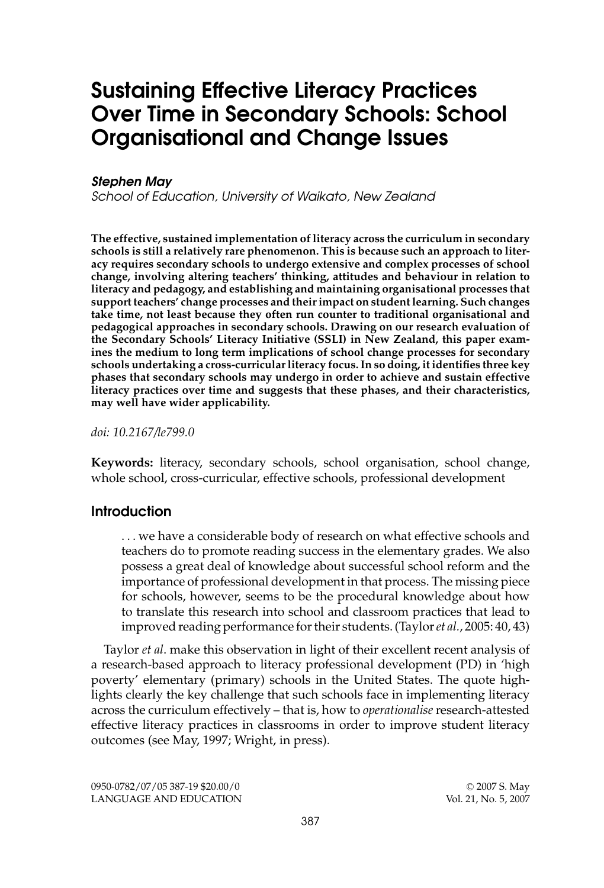# **Sustaining Effective Literacy Practices Over Time in Secondary Schools: School Organisational and Change Issues**

# **Stephen May**

School of Education, University of Waikato, New Zealand

**The effective, sustained implementation of literacy across the curriculum in secondary schools is still a relatively rare phenomenon. This is because such an approach to literacy requires secondary schools to undergo extensive and complex processes of school change, involving altering teachers' thinking, attitudes and behaviour in relation to literacy and pedagogy, and establishing and maintaining organisational processes that support teachers' change processes and their impact on student learning. Such changes take time, not least because they often run counter to traditional organisational and pedagogical approaches in secondary schools. Drawing on our research evaluation of the Secondary Schools' Literacy Initiative (SSLI) in New Zealand, this paper examines the medium to long term implications of school change processes for secondary schools undertaking a cross-curricular literacy focus. In so doing, it identifies three key phases that secondary schools may undergo in order to achieve and sustain effective literacy practices over time and suggests that these phases, and their characteristics, may well have wider applicability.**

*doi: 10.2167/le799.0*

**Keywords:** literacy, secondary schools, school organisation, school change, whole school, cross-curricular, effective schools, professional development

#### **Introduction**

. . . we have a considerable body of research on what effective schools and teachers do to promote reading success in the elementary grades. We also possess a great deal of knowledge about successful school reform and the importance of professional development in that process. The missing piece for schools, however, seems to be the procedural knowledge about how to translate this research into school and classroom practices that lead to improved reading performance for their students. (Taylor*et al.*, 2005: 40, 43)

Taylor *et al*. make this observation in light of their excellent recent analysis of a research-based approach to literacy professional development (PD) in 'high poverty' elementary (primary) schools in the United States. The quote highlights clearly the key challenge that such schools face in implementing literacy across the curriculum effectively – that is, how to *operationalise* research-attested effective literacy practices in classrooms in order to improve student literacy outcomes (see May, 1997; Wright, in press).

0950-0782/07/05 387-19 \$20.00/0 C 2007 S. May LANGUAGE AND EDUCATION Vol. 21, No. 5, 2007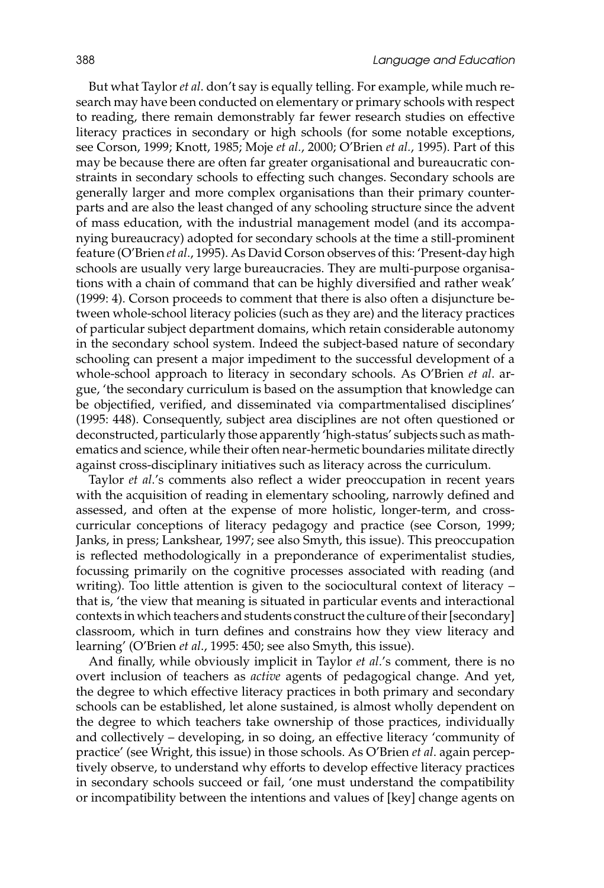But what Taylor *et al*. don't say is equally telling. For example, while much research may have been conducted on elementary or primary schools with respect to reading, there remain demonstrably far fewer research studies on effective literacy practices in secondary or high schools (for some notable exceptions, see Corson, 1999; Knott, 1985; Moje *et al.*, 2000; O'Brien *et al.*, 1995). Part of this may be because there are often far greater organisational and bureaucratic constraints in secondary schools to effecting such changes. Secondary schools are generally larger and more complex organisations than their primary counterparts and are also the least changed of any schooling structure since the advent of mass education, with the industrial management model (and its accompanying bureaucracy) adopted for secondary schools at the time a still-prominent feature (O'Brien *et al*., 1995). As David Corson observes of this: 'Present-day high schools are usually very large bureaucracies. They are multi-purpose organisations with a chain of command that can be highly diversified and rather weak' (1999: 4). Corson proceeds to comment that there is also often a disjuncture between whole-school literacy policies (such as they are) and the literacy practices of particular subject department domains, which retain considerable autonomy in the secondary school system. Indeed the subject-based nature of secondary schooling can present a major impediment to the successful development of a whole-school approach to literacy in secondary schools. As O'Brien *et al*. argue, 'the secondary curriculum is based on the assumption that knowledge can be objectified, verified, and disseminated via compartmentalised disciplines' (1995: 448). Consequently, subject area disciplines are not often questioned or deconstructed, particularly those apparently 'high-status' subjects such as mathematics and science, while their often near-hermetic boundaries militate directly against cross-disciplinary initiatives such as literacy across the curriculum.

Taylor *et al*.'s comments also reflect a wider preoccupation in recent years with the acquisition of reading in elementary schooling, narrowly defined and assessed, and often at the expense of more holistic, longer-term, and crosscurricular conceptions of literacy pedagogy and practice (see Corson, 1999; Janks, in press; Lankshear, 1997; see also Smyth, this issue). This preoccupation is reflected methodologically in a preponderance of experimentalist studies, focussing primarily on the cognitive processes associated with reading (and writing). Too little attention is given to the sociocultural context of literacy – that is, 'the view that meaning is situated in particular events and interactional contexts in which teachers and students construct the culture of their [secondary] classroom, which in turn defines and constrains how they view literacy and learning' (O'Brien *et al*., 1995: 450; see also Smyth, this issue).

And finally, while obviously implicit in Taylor *et al*.'s comment, there is no overt inclusion of teachers as *active* agents of pedagogical change. And yet, the degree to which effective literacy practices in both primary and secondary schools can be established, let alone sustained, is almost wholly dependent on the degree to which teachers take ownership of those practices, individually and collectively – developing, in so doing, an effective literacy 'community of practice' (see Wright, this issue) in those schools. As O'Brien *et al*. again perceptively observe, to understand why efforts to develop effective literacy practices in secondary schools succeed or fail, 'one must understand the compatibility or incompatibility between the intentions and values of [key] change agents on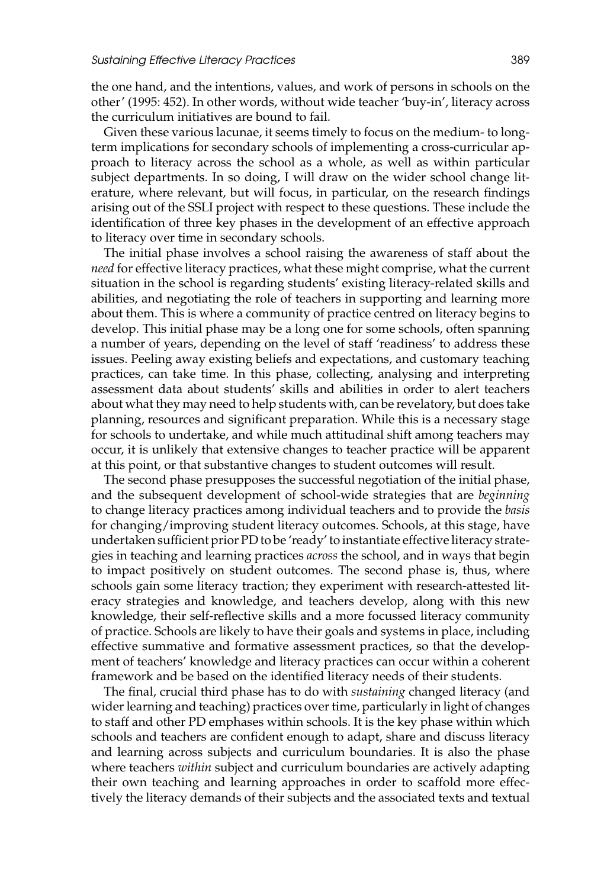the one hand, and the intentions, values, and work of persons in schools on the other' (1995: 452). In other words, without wide teacher 'buy-in', literacy across the curriculum initiatives are bound to fail.

Given these various lacunae, it seems timely to focus on the medium- to longterm implications for secondary schools of implementing a cross-curricular approach to literacy across the school as a whole, as well as within particular subject departments. In so doing, I will draw on the wider school change literature, where relevant, but will focus, in particular, on the research findings arising out of the SSLI project with respect to these questions. These include the identification of three key phases in the development of an effective approach to literacy over time in secondary schools.

The initial phase involves a school raising the awareness of staff about the *need* for effective literacy practices, what these might comprise, what the current situation in the school is regarding students' existing literacy-related skills and abilities, and negotiating the role of teachers in supporting and learning more about them. This is where a community of practice centred on literacy begins to develop. This initial phase may be a long one for some schools, often spanning a number of years, depending on the level of staff 'readiness' to address these issues. Peeling away existing beliefs and expectations, and customary teaching practices, can take time. In this phase, collecting, analysing and interpreting assessment data about students' skills and abilities in order to alert teachers about what they may need to help students with, can be revelatory, but does take planning, resources and significant preparation. While this is a necessary stage for schools to undertake, and while much attitudinal shift among teachers may occur, it is unlikely that extensive changes to teacher practice will be apparent at this point, or that substantive changes to student outcomes will result.

The second phase presupposes the successful negotiation of the initial phase, and the subsequent development of school-wide strategies that are *beginning* to change literacy practices among individual teachers and to provide the *basis* for changing/improving student literacy outcomes. Schools, at this stage, have undertaken sufficient prior PD to be 'ready' to instantiate effective literacy strategies in teaching and learning practices *across* the school, and in ways that begin to impact positively on student outcomes. The second phase is, thus, where schools gain some literacy traction; they experiment with research-attested literacy strategies and knowledge, and teachers develop, along with this new knowledge, their self-reflective skills and a more focussed literacy community of practice. Schools are likely to have their goals and systems in place, including effective summative and formative assessment practices, so that the development of teachers' knowledge and literacy practices can occur within a coherent framework and be based on the identified literacy needs of their students.

The final, crucial third phase has to do with *sustaining* changed literacy (and wider learning and teaching) practices over time, particularly in light of changes to staff and other PD emphases within schools. It is the key phase within which schools and teachers are confident enough to adapt, share and discuss literacy and learning across subjects and curriculum boundaries. It is also the phase where teachers *within* subject and curriculum boundaries are actively adapting their own teaching and learning approaches in order to scaffold more effectively the literacy demands of their subjects and the associated texts and textual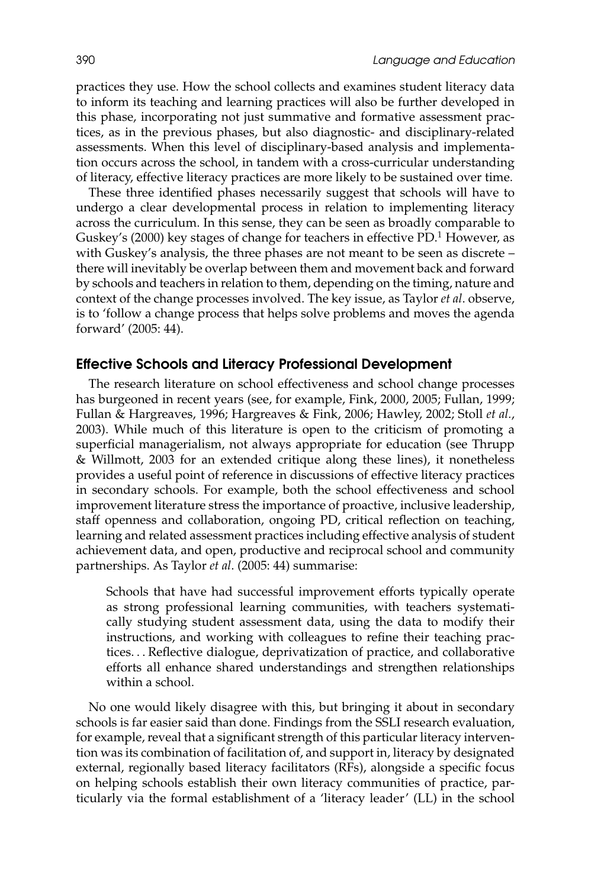practices they use. How the school collects and examines student literacy data to inform its teaching and learning practices will also be further developed in this phase, incorporating not just summative and formative assessment practices, as in the previous phases, but also diagnostic- and disciplinary-related assessments. When this level of disciplinary-based analysis and implementation occurs across the school, in tandem with a cross-curricular understanding of literacy, effective literacy practices are more likely to be sustained over time.

These three identified phases necessarily suggest that schools will have to undergo a clear developmental process in relation to implementing literacy across the curriculum. In this sense, they can be seen as broadly comparable to Guskey's (2000) key stages of change for teachers in effective PD.<sup>1</sup> However, as with Guskey's analysis, the three phases are not meant to be seen as discrete – there will inevitably be overlap between them and movement back and forward by schools and teachers in relation to them, depending on the timing, nature and context of the change processes involved. The key issue, as Taylor *et al*. observe, is to 'follow a change process that helps solve problems and moves the agenda forward' (2005: 44).

#### **Effective Schools and Literacy Professional Development**

The research literature on school effectiveness and school change processes has burgeoned in recent years (see, for example, Fink, 2000, 2005; Fullan, 1999; Fullan & Hargreaves, 1996; Hargreaves & Fink, 2006; Hawley, 2002; Stoll *et al.*, 2003). While much of this literature is open to the criticism of promoting a superficial managerialism, not always appropriate for education (see Thrupp & Willmott, 2003 for an extended critique along these lines), it nonetheless provides a useful point of reference in discussions of effective literacy practices in secondary schools. For example, both the school effectiveness and school improvement literature stress the importance of proactive, inclusive leadership, staff openness and collaboration, ongoing PD, critical reflection on teaching, learning and related assessment practices including effective analysis of student achievement data, and open, productive and reciprocal school and community partnerships. As Taylor *et al*. (2005: 44) summarise:

Schools that have had successful improvement efforts typically operate as strong professional learning communities, with teachers systematically studying student assessment data, using the data to modify their instructions, and working with colleagues to refine their teaching practices. . . Reflective dialogue, deprivatization of practice, and collaborative efforts all enhance shared understandings and strengthen relationships within a school.

No one would likely disagree with this, but bringing it about in secondary schools is far easier said than done. Findings from the SSLI research evaluation, for example, reveal that a significant strength of this particular literacy intervention was its combination of facilitation of, and support in, literacy by designated external, regionally based literacy facilitators (RFs), alongside a specific focus on helping schools establish their own literacy communities of practice, particularly via the formal establishment of a 'literacy leader' (LL) in the school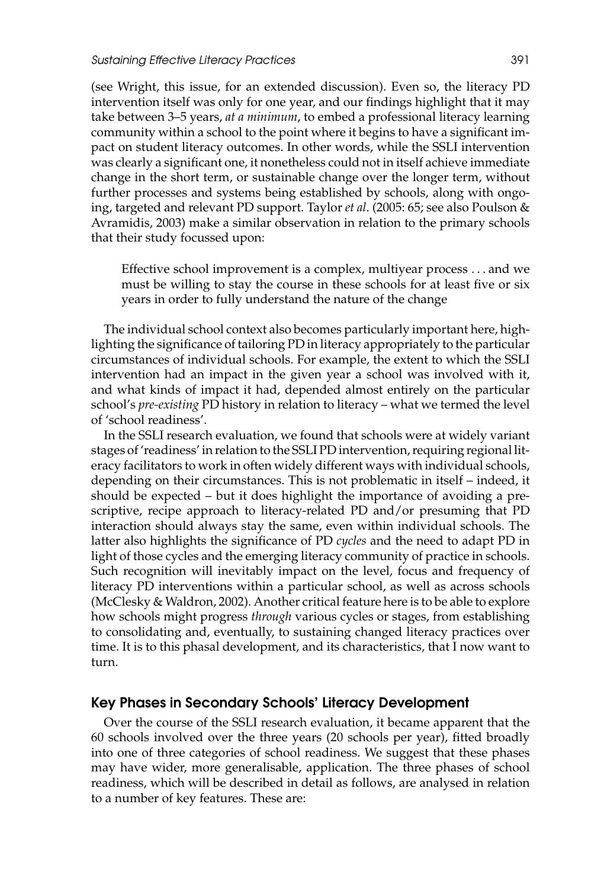(see Wright, this issue, for an extended discussion). Even so, the literacy PD intervention itself was only for one year, and our findings highlight that it may take between 3–5 years, *at a minimum*, to embed a professional literacy learning community within a school to the point where it begins to have a significant impact on student literacy outcomes. In other words, while the SSLI intervention was clearly a significant one, it nonetheless could not in itself achieve immediate change in the short term, or sustainable change over the longer term, without further processes and systems being established by schools, along with ongoing, targeted and relevant PD support. Taylor *et al*. (2005: 65; see also Poulson & Avramidis, 2003) make a similar observation in relation to the primary schools that their study focussed upon:

Effective school improvement is a complex, multiyear process . . . and we must be willing to stay the course in these schools for at least five or six years in order to fully understand the nature of the change

The individual school context also becomes particularly important here, highlighting the significance of tailoring PD in literacy appropriately to the particular circumstances of individual schools. For example, the extent to which the SSLI intervention had an impact in the given year a school was involved with it, and what kinds of impact it had, depended almost entirely on the particular school's *pre-existing* PD history in relation to literacy – what we termed the level of 'school readiness'.

In the SSLI research evaluation, we found that schools were at widely variant stages of 'readiness' in relation to the SSLI PD intervention, requiring regional literacy facilitators to work in often widely different ways with individual schools, depending on their circumstances. This is not problematic in itself – indeed, it should be expected – but it does highlight the importance of avoiding a prescriptive, recipe approach to literacy-related PD and/or presuming that PD interaction should always stay the same, even within individual schools. The latter also highlights the significance of PD *cycles* and the need to adapt PD in light of those cycles and the emerging literacy community of practice in schools. Such recognition will inevitably impact on the level, focus and frequency of literacy PD interventions within a particular school, as well as across schools (McClesky & Waldron, 2002). Another critical feature here is to be able to explore how schools might progress *through* various cycles or stages, from establishing to consolidating and, eventually, to sustaining changed literacy practices over time. It is to this phasal development, and its characteristics, that I now want to turn.

#### **Key Phases in Secondary Schools' Literacy Development**

Over the course of the SSLI research evaluation, it became apparent that the 60 schools involved over the three years (20 schools per year), fitted broadly into one of three categories of school readiness. We suggest that these phases may have wider, more generalisable, application. The three phases of school readiness, which will be described in detail as follows, are analysed in relation to a number of key features. These are: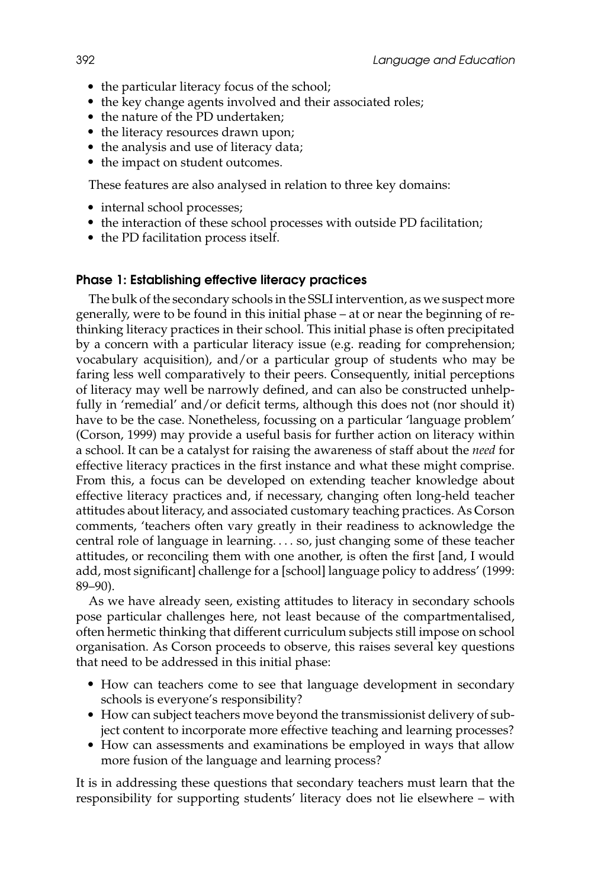- the particular literacy focus of the school;
- the key change agents involved and their associated roles;
- the nature of the PD undertaken;
- the literacy resources drawn upon;
- the analysis and use of literacy data;
- the impact on student outcomes.

These features are also analysed in relation to three key domains:

- internal school processes;
- the interaction of these school processes with outside PD facilitation;
- the PD facilitation process itself.

#### **Phase 1: Establishing effective literacy practices**

The bulk of the secondary schools in the SSLI intervention, as we suspect more generally, were to be found in this initial phase – at or near the beginning of rethinking literacy practices in their school. This initial phase is often precipitated by a concern with a particular literacy issue (e.g. reading for comprehension; vocabulary acquisition), and/or a particular group of students who may be faring less well comparatively to their peers. Consequently, initial perceptions of literacy may well be narrowly defined, and can also be constructed unhelpfully in 'remedial' and/or deficit terms, although this does not (nor should it) have to be the case. Nonetheless, focussing on a particular 'language problem' (Corson, 1999) may provide a useful basis for further action on literacy within a school. It can be a catalyst for raising the awareness of staff about the *need* for effective literacy practices in the first instance and what these might comprise. From this, a focus can be developed on extending teacher knowledge about effective literacy practices and, if necessary, changing often long-held teacher attitudes about literacy, and associated customary teaching practices. As Corson comments, 'teachers often vary greatly in their readiness to acknowledge the central role of language in learning. . . . so, just changing some of these teacher attitudes, or reconciling them with one another, is often the first [and, I would add, most significant] challenge for a [school] language policy to address' (1999: 89–90).

As we have already seen, existing attitudes to literacy in secondary schools pose particular challenges here, not least because of the compartmentalised, often hermetic thinking that different curriculum subjects still impose on school organisation. As Corson proceeds to observe, this raises several key questions that need to be addressed in this initial phase:

- How can teachers come to see that language development in secondary schools is everyone's responsibility?
- How can subject teachers move beyond the transmissionist delivery of subject content to incorporate more effective teaching and learning processes?
- How can assessments and examinations be employed in ways that allow more fusion of the language and learning process?

It is in addressing these questions that secondary teachers must learn that the responsibility for supporting students' literacy does not lie elsewhere – with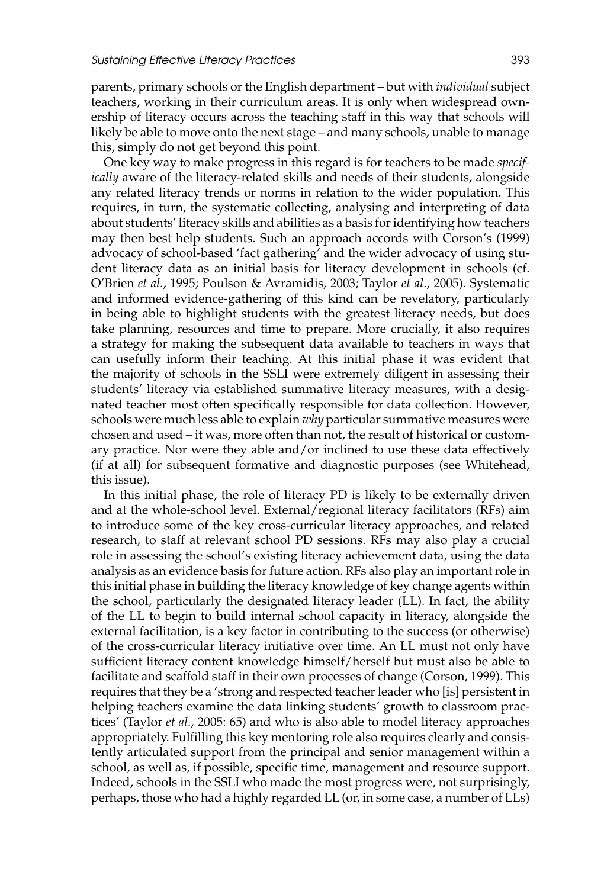parents, primary schools or the English department – but with *individual* subject teachers, working in their curriculum areas. It is only when widespread ownership of literacy occurs across the teaching staff in this way that schools will likely be able to move onto the next stage – and many schools, unable to manage this, simply do not get beyond this point.

One key way to make progress in this regard is for teachers to be made *specifically* aware of the literacy-related skills and needs of their students, alongside any related literacy trends or norms in relation to the wider population. This requires, in turn, the systematic collecting, analysing and interpreting of data about students' literacy skills and abilities as a basis for identifying how teachers may then best help students. Such an approach accords with Corson's (1999) advocacy of school-based 'fact gathering' and the wider advocacy of using student literacy data as an initial basis for literacy development in schools (cf. O'Brien *et al*., 1995; Poulson & Avramidis, 2003; Taylor *et al*., 2005). Systematic and informed evidence-gathering of this kind can be revelatory, particularly in being able to highlight students with the greatest literacy needs, but does take planning, resources and time to prepare. More crucially, it also requires a strategy for making the subsequent data available to teachers in ways that can usefully inform their teaching. At this initial phase it was evident that the majority of schools in the SSLI were extremely diligent in assessing their students' literacy via established summative literacy measures, with a designated teacher most often specifically responsible for data collection. However, schools were much less able to explain *why* particular summative measures were chosen and used – it was, more often than not, the result of historical or customary practice. Nor were they able and/or inclined to use these data effectively (if at all) for subsequent formative and diagnostic purposes (see Whitehead, this issue).

In this initial phase, the role of literacy PD is likely to be externally driven and at the whole-school level. External/regional literacy facilitators (RFs) aim to introduce some of the key cross-curricular literacy approaches, and related research, to staff at relevant school PD sessions. RFs may also play a crucial role in assessing the school's existing literacy achievement data, using the data analysis as an evidence basis for future action. RFs also play an important role in this initial phase in building the literacy knowledge of key change agents within the school, particularly the designated literacy leader (LL). In fact, the ability of the LL to begin to build internal school capacity in literacy, alongside the external facilitation, is a key factor in contributing to the success (or otherwise) of the cross-curricular literacy initiative over time. An LL must not only have sufficient literacy content knowledge himself/herself but must also be able to facilitate and scaffold staff in their own processes of change (Corson, 1999). This requires that they be a 'strong and respected teacher leader who [is] persistent in helping teachers examine the data linking students' growth to classroom practices' (Taylor *et al*., 2005: 65) and who is also able to model literacy approaches appropriately. Fulfilling this key mentoring role also requires clearly and consistently articulated support from the principal and senior management within a school, as well as, if possible, specific time, management and resource support. Indeed, schools in the SSLI who made the most progress were, not surprisingly, perhaps, those who had a highly regarded LL (or, in some case, a number of LLs)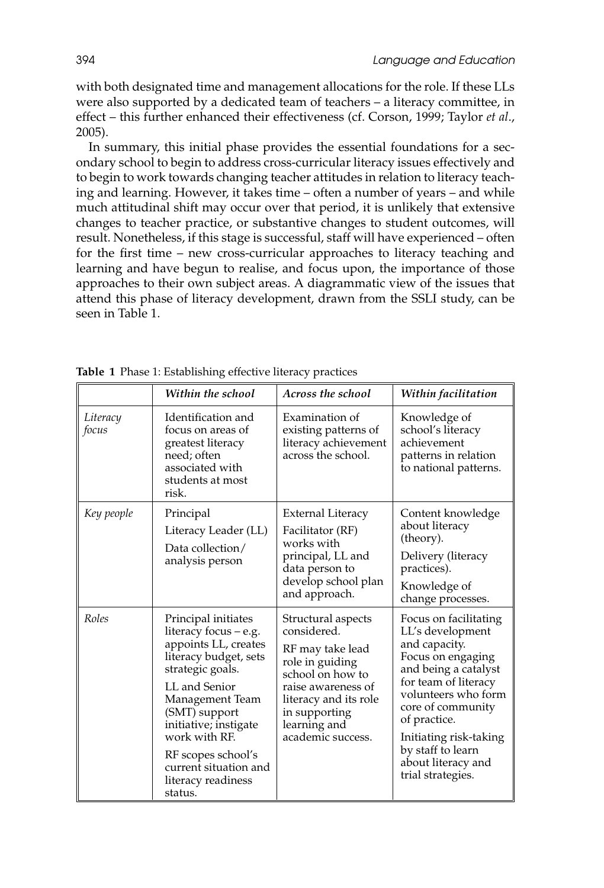with both designated time and management allocations for the role. If these LLs were also supported by a dedicated team of teachers – a literacy committee, in effect – this further enhanced their effectiveness (cf. Corson, 1999; Taylor *et al*., 2005).

In summary, this initial phase provides the essential foundations for a secondary school to begin to address cross-curricular literacy issues effectively and to begin to work towards changing teacher attitudes in relation to literacy teaching and learning. However, it takes time – often a number of years – and while much attitudinal shift may occur over that period, it is unlikely that extensive changes to teacher practice, or substantive changes to student outcomes, will result. Nonetheless, if this stage is successful, staff will have experienced – often for the first time – new cross-curricular approaches to literacy teaching and learning and have begun to realise, and focus upon, the importance of those approaches to their own subject areas. A diagrammatic view of the issues that attend this phase of literacy development, drawn from the SSLI study, can be seen in Table 1.

|                   | Within the school                                                                                                                                                                                                                                                                                | Across the school                                                                                                                                                                                 | Within facilitation                                                                                                                                                                                                                                                                   |
|-------------------|--------------------------------------------------------------------------------------------------------------------------------------------------------------------------------------------------------------------------------------------------------------------------------------------------|---------------------------------------------------------------------------------------------------------------------------------------------------------------------------------------------------|---------------------------------------------------------------------------------------------------------------------------------------------------------------------------------------------------------------------------------------------------------------------------------------|
| Literacy<br>focus | Identification and<br>focus on areas of<br>greatest literacy<br>need; often<br>associated with<br>students at most<br>risk.                                                                                                                                                                      | Examination of<br>existing patterns of<br>literacy achievement<br>across the school.                                                                                                              | Knowledge of<br>school's literacy<br>achievement<br>patterns in relation<br>to national patterns.                                                                                                                                                                                     |
| Key people        | Principal<br>Literacy Leader (LL)<br>Data collection/<br>analysis person                                                                                                                                                                                                                         | <b>External Literacy</b><br>Facilitator (RF)<br>works with<br>principal, LL and<br>data person to<br>develop school plan<br>and approach.                                                         | Content knowledge<br>about literacy<br>(theory).<br>Delivery (literacy<br>practices).<br>Knowledge of<br>change processes.                                                                                                                                                            |
| Roles             | Principal initiates<br>literacy focus - e.g.<br>appoints LL, creates<br>literacy budget, sets<br>strategic goals.<br>LL and Senior<br>Management Team<br>(SMT) support<br>initiative; instigate<br>work with RF.<br>RF scopes school's<br>current situation and<br>literacy readiness<br>status. | Structural aspects<br>considered.<br>RF may take lead<br>role in guiding<br>school on how to<br>raise awareness of<br>literacy and its role<br>in supporting<br>learning and<br>academic success. | Focus on facilitating<br>LL's development<br>and capacity.<br>Focus on engaging<br>and being a catalyst<br>for team of literacy<br>volunteers who form<br>core of community<br>of practice.<br>Initiating risk-taking<br>by staff to learn<br>about literacy and<br>trial strategies. |

**Table 1** Phase 1: Establishing effective literacy practices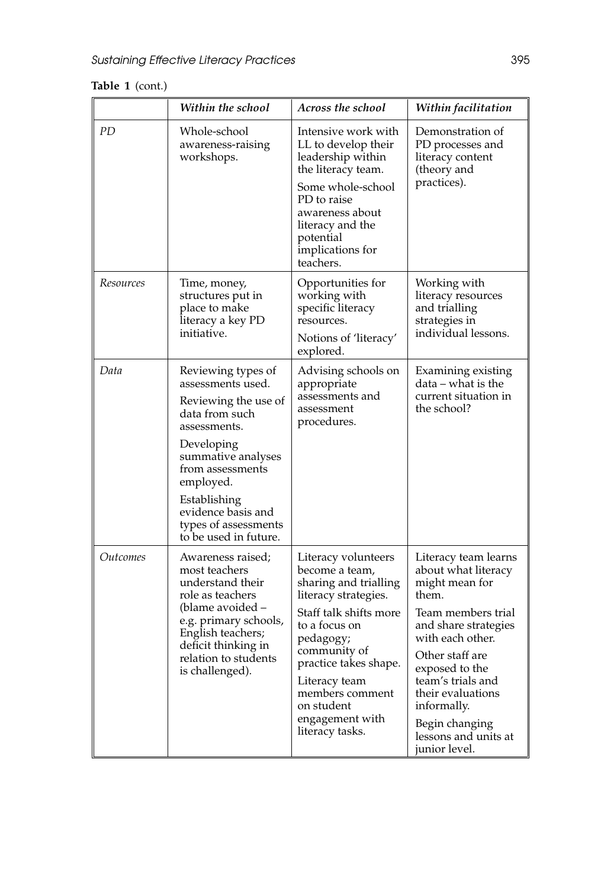# **Table 1** (cont.)

|           | Within the school                                                                                                                                                                                                                                             | Across the school                                                                                                                                                                                                                                                               | Within facilitation                                                                                                                                                                                                                                                                               |
|-----------|---------------------------------------------------------------------------------------------------------------------------------------------------------------------------------------------------------------------------------------------------------------|---------------------------------------------------------------------------------------------------------------------------------------------------------------------------------------------------------------------------------------------------------------------------------|---------------------------------------------------------------------------------------------------------------------------------------------------------------------------------------------------------------------------------------------------------------------------------------------------|
| PD        | Whole-school<br>awareness-raising<br>workshops.                                                                                                                                                                                                               | Intensive work with<br>LL to develop their<br>leadership within<br>the literacy team.<br>Some whole-school<br>PD to raise<br>awareness about<br>literacy and the<br>potential<br>implications for<br>teachers.                                                                  | Demonstration of<br>PD processes and<br>literacy content<br>(theory and<br>practices).                                                                                                                                                                                                            |
| Resources | Time, money,<br>structures put in<br>place to make<br>literacy a key PD<br>initiative.                                                                                                                                                                        | Opportunities for<br>working with<br>specific literacy<br>resources.<br>Notions of 'literacy'<br>explored.                                                                                                                                                                      | Working with<br>literacy resources<br>and trialling<br>strategies in<br>individual lessons.                                                                                                                                                                                                       |
| Data      | Reviewing types of<br>assessments used.<br>Reviewing the use of<br>data from such<br>assessments.<br>Developing<br>summative analyses<br>from assessments<br>employed.<br>Establishing<br>evidence basis and<br>types of assessments<br>to be used in future. | Advising schools on<br>appropriate<br>assessments and<br>assessment<br>procedures.                                                                                                                                                                                              | Examining existing<br>data – what is the<br>current situation in<br>the school?                                                                                                                                                                                                                   |
| Outcomes  | Awareness raised;<br>most teachers<br>understand their<br>role as teachers<br>(blame avoided –<br>e.g. primary schools,<br>English teachers;<br>deficit thinking in<br>relation to students<br>is challenged).                                                | Literacy volunteers<br>become a team,<br>sharing and trialling<br>literacy strategies.<br>Staff talk shifts more<br>to a focus on<br>pedagogy;<br>community of<br>practice takes shape.<br>Literacy team<br>members comment<br>on student<br>engagement with<br>literacy tasks. | Literacy team learns<br>about what literacy<br>might mean for<br>them.<br>Team members trial<br>and share strategies<br>with each other.<br>Other staff are<br>exposed to the<br>team's trials and<br>their evaluations<br>informally.<br>Begin changing<br>lessons and units at<br>junior level. |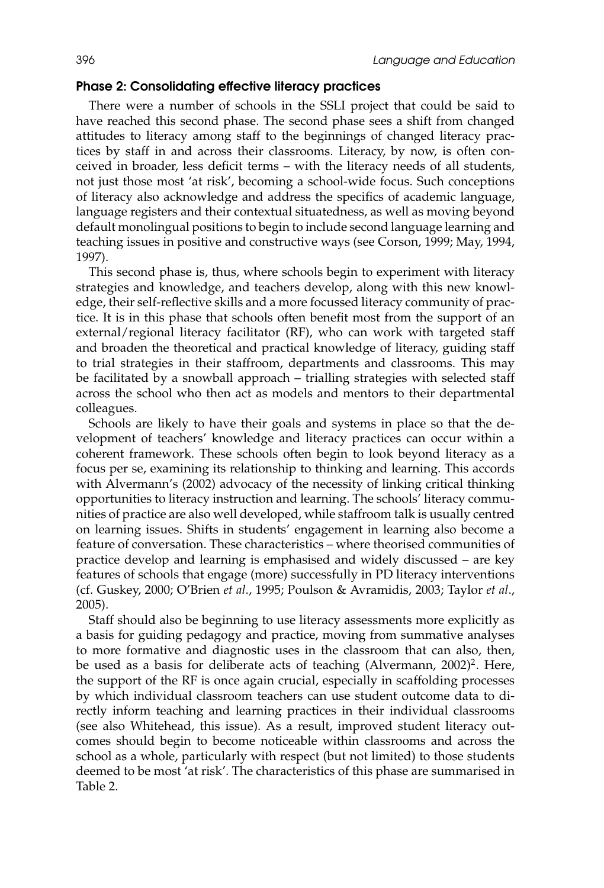## **Phase 2: Consolidating effective literacy practices**

There were a number of schools in the SSLI project that could be said to have reached this second phase. The second phase sees a shift from changed attitudes to literacy among staff to the beginnings of changed literacy practices by staff in and across their classrooms. Literacy, by now, is often conceived in broader, less deficit terms – with the literacy needs of all students, not just those most 'at risk', becoming a school-wide focus. Such conceptions of literacy also acknowledge and address the specifics of academic language, language registers and their contextual situatedness, as well as moving beyond default monolingual positions to begin to include second language learning and teaching issues in positive and constructive ways (see Corson, 1999; May, 1994, 1997).

This second phase is, thus, where schools begin to experiment with literacy strategies and knowledge, and teachers develop, along with this new knowledge, their self-reflective skills and a more focussed literacy community of practice. It is in this phase that schools often benefit most from the support of an external/regional literacy facilitator (RF), who can work with targeted staff and broaden the theoretical and practical knowledge of literacy, guiding staff to trial strategies in their staffroom, departments and classrooms. This may be facilitated by a snowball approach – trialling strategies with selected staff across the school who then act as models and mentors to their departmental colleagues.

Schools are likely to have their goals and systems in place so that the development of teachers' knowledge and literacy practices can occur within a coherent framework. These schools often begin to look beyond literacy as a focus per se, examining its relationship to thinking and learning. This accords with Alvermann's (2002) advocacy of the necessity of linking critical thinking opportunities to literacy instruction and learning. The schools' literacy communities of practice are also well developed, while staffroom talk is usually centred on learning issues. Shifts in students' engagement in learning also become a feature of conversation. These characteristics – where theorised communities of practice develop and learning is emphasised and widely discussed – are key features of schools that engage (more) successfully in PD literacy interventions (cf. Guskey, 2000; O'Brien *et al*., 1995; Poulson & Avramidis, 2003; Taylor *et al*., 2005).

Staff should also be beginning to use literacy assessments more explicitly as a basis for guiding pedagogy and practice, moving from summative analyses to more formative and diagnostic uses in the classroom that can also, then, be used as a basis for deliberate acts of teaching (Alvermann, 2002)<sup>2</sup>. Here, the support of the RF is once again crucial, especially in scaffolding processes by which individual classroom teachers can use student outcome data to directly inform teaching and learning practices in their individual classrooms (see also Whitehead, this issue). As a result, improved student literacy outcomes should begin to become noticeable within classrooms and across the school as a whole, particularly with respect (but not limited) to those students deemed to be most 'at risk'. The characteristics of this phase are summarised in Table 2.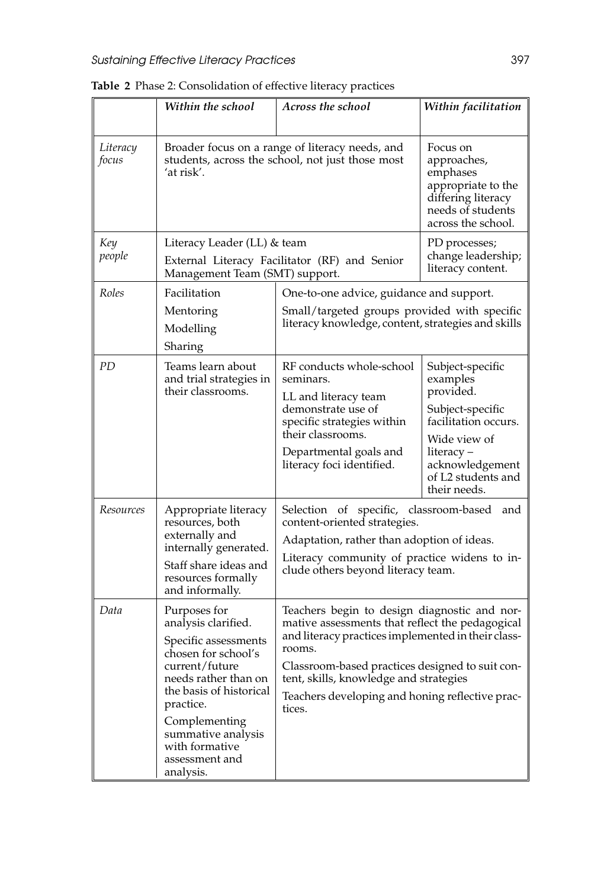|                   | Within the school                                                                                                                                                                                                                                            | Across the school                                                                                                                                                                                                                                                                                                         | Within facilitation                                                                                                                                                          |
|-------------------|--------------------------------------------------------------------------------------------------------------------------------------------------------------------------------------------------------------------------------------------------------------|---------------------------------------------------------------------------------------------------------------------------------------------------------------------------------------------------------------------------------------------------------------------------------------------------------------------------|------------------------------------------------------------------------------------------------------------------------------------------------------------------------------|
| Literacy<br>focus | Broader focus on a range of literacy needs, and<br>students, across the school, not just those most<br>ʻat risk′.                                                                                                                                            |                                                                                                                                                                                                                                                                                                                           | Focus on<br>approaches,<br>emphases<br>appropriate to the<br>differing literacy<br>needs of students<br>across the school.                                                   |
| Key<br>people     | Literacy Leader (LL) & team<br>External Literacy Facilitator (RF) and Senior<br>Management Team (SMT) support.                                                                                                                                               |                                                                                                                                                                                                                                                                                                                           | PD processes;<br>change leadership;<br>literacy content.                                                                                                                     |
| Roles             | Facilitation<br>Mentoring<br>Modelling<br>Sharing                                                                                                                                                                                                            | One-to-one advice, guidance and support.<br>Small/targeted groups provided with specific<br>literacy knowledge, content, strategies and skills                                                                                                                                                                            |                                                                                                                                                                              |
| PD                | Teams learn about<br>and trial strategies in<br>their classrooms.                                                                                                                                                                                            | RF conducts whole-school<br>seminars.<br>LL and literacy team<br>demonstrate use of<br>specific strategies within<br>their classrooms.<br>Departmental goals and<br>literacy foci identified.                                                                                                                             | Subject-specific<br>examples<br>provided.<br>Subject-specific<br>facilitation occurs.<br>Wide view of<br>literacy –<br>acknowledgement<br>of L2 students and<br>their needs. |
| Resources         | Appropriate literacy<br>resources, both<br>externally and<br>internally generated.<br>Staff share ideas and<br>resources formally<br>and informally.                                                                                                         | Selection of specific, classroom-based and<br>content-oriented strategies.<br>Adaptation, rather than adoption of ideas.<br>Literacy community of practice widens to in-<br>clude others beyond literacy team.                                                                                                            |                                                                                                                                                                              |
| Data              | Purposes for<br>analysis clarified.<br>Specific assessments<br>chosen for school's<br>current/future<br>needs rather than on<br>the basis of historical<br>practice.<br>Complementing<br>summative analysis<br>with formative<br>assessment and<br>analysis. | Teachers begin to design diagnostic and nor-<br>mative assessments that reflect the pedagogical<br>and literacy practices implemented in their class-<br>rooms.<br>Classroom-based practices designed to suit con-<br>tent, skills, knowledge and strategies<br>Teachers developing and honing reflective prac-<br>tices. |                                                                                                                                                                              |

**Table 2** Phase 2: Consolidation of effective literacy practices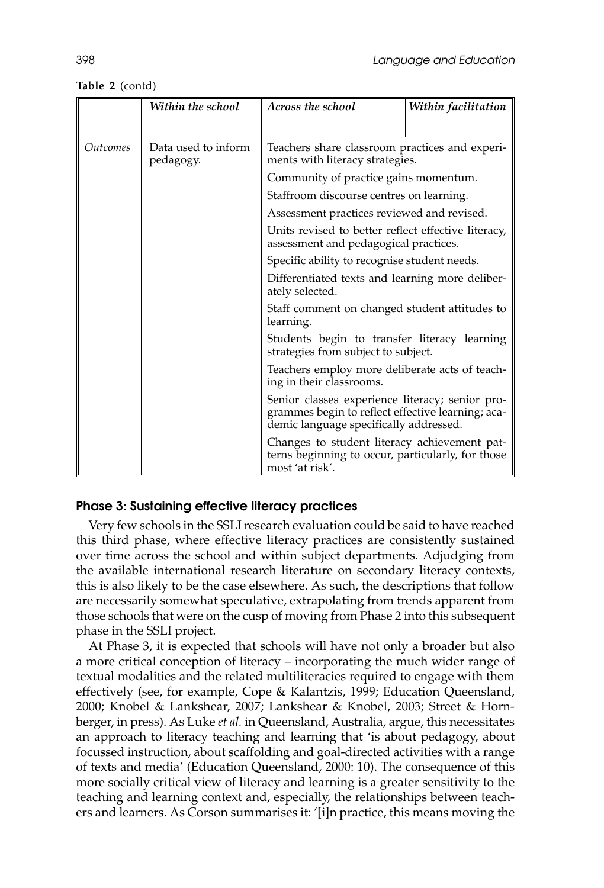**Table 2** (contd)

|                        | Within the school                | Across the school                                                                                                                              | Within facilitation |
|------------------------|----------------------------------|------------------------------------------------------------------------------------------------------------------------------------------------|---------------------|
| <i><u>Outcomes</u></i> | Data used to inform<br>pedagogy. | Teachers share classroom practices and experi-<br>ments with literacy strategies.                                                              |                     |
|                        |                                  | Community of practice gains momentum.                                                                                                          |                     |
|                        |                                  | Staffroom discourse centres on learning.                                                                                                       |                     |
|                        |                                  | Assessment practices reviewed and revised.                                                                                                     |                     |
|                        |                                  | Units revised to better reflect effective literacy,<br>assessment and pedagogical practices.                                                   |                     |
|                        |                                  | Specific ability to recognise student needs.                                                                                                   |                     |
|                        |                                  | Differentiated texts and learning more deliber-<br>ately selected.                                                                             |                     |
|                        |                                  | Staff comment on changed student attitudes to<br>learning.                                                                                     |                     |
|                        |                                  | Students begin to transfer literacy learning<br>strategies from subject to subject.                                                            |                     |
|                        |                                  | Teachers employ more deliberate acts of teach-<br>ing in their classrooms.                                                                     |                     |
|                        |                                  | Senior classes experience literacy; senior pro-<br>grammes begin to reflect effective learning; aca-<br>demic language specifically addressed. |                     |
|                        |                                  | Changes to student literacy achievement pat-<br>terns beginning to occur, particularly, for those<br>most 'at risk'.                           |                     |

#### **Phase 3: Sustaining effective literacy practices**

Very few schools in the SSLI research evaluation could be said to have reached this third phase, where effective literacy practices are consistently sustained over time across the school and within subject departments. Adjudging from the available international research literature on secondary literacy contexts, this is also likely to be the case elsewhere. As such, the descriptions that follow are necessarily somewhat speculative, extrapolating from trends apparent from those schools that were on the cusp of moving from Phase 2 into this subsequent phase in the SSLI project.

At Phase 3, it is expected that schools will have not only a broader but also a more critical conception of literacy – incorporating the much wider range of textual modalities and the related multiliteracies required to engage with them effectively (see, for example, Cope & Kalantzis, 1999; Education Queensland, 2000; Knobel & Lankshear, 2007; Lankshear & Knobel, 2003; Street & Hornberger, in press). As Luke *et al.* in Queensland, Australia, argue, this necessitates an approach to literacy teaching and learning that 'is about pedagogy, about focussed instruction, about scaffolding and goal-directed activities with a range of texts and media' (Education Queensland, 2000: 10). The consequence of this more socially critical view of literacy and learning is a greater sensitivity to the teaching and learning context and, especially, the relationships between teachers and learners. As Corson summarises it: '[i]n practice, this means moving the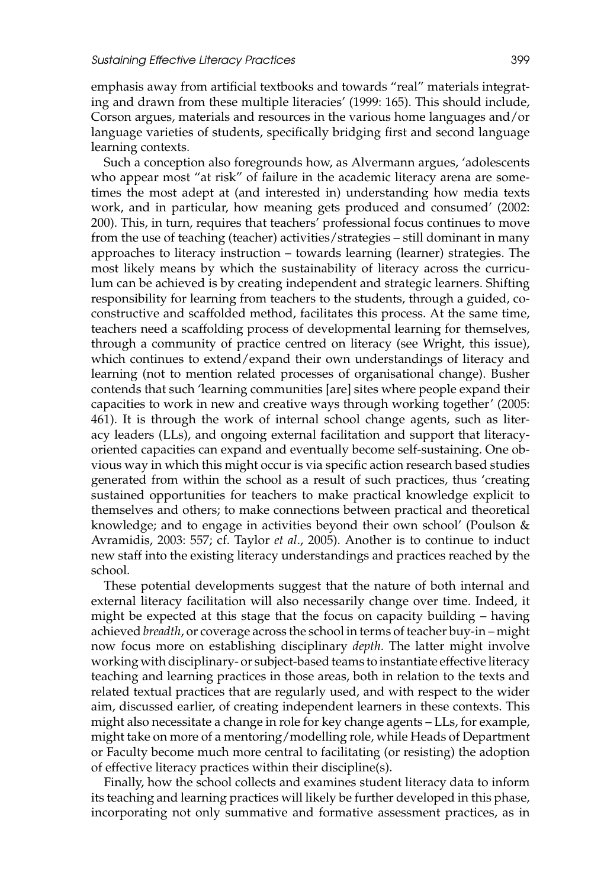emphasis away from artificial textbooks and towards "real" materials integrating and drawn from these multiple literacies' (1999: 165). This should include, Corson argues, materials and resources in the various home languages and/or language varieties of students, specifically bridging first and second language learning contexts.

Such a conception also foregrounds how, as Alvermann argues, 'adolescents who appear most "at risk" of failure in the academic literacy arena are sometimes the most adept at (and interested in) understanding how media texts work, and in particular, how meaning gets produced and consumed' (2002: 200). This, in turn, requires that teachers' professional focus continues to move from the use of teaching (teacher) activities/strategies – still dominant in many approaches to literacy instruction – towards learning (learner) strategies. The most likely means by which the sustainability of literacy across the curriculum can be achieved is by creating independent and strategic learners. Shifting responsibility for learning from teachers to the students, through a guided, coconstructive and scaffolded method, facilitates this process. At the same time, teachers need a scaffolding process of developmental learning for themselves, through a community of practice centred on literacy (see Wright, this issue), which continues to extend/expand their own understandings of literacy and learning (not to mention related processes of organisational change). Busher contends that such 'learning communities [are] sites where people expand their capacities to work in new and creative ways through working together' (2005: 461). It is through the work of internal school change agents, such as literacy leaders (LLs), and ongoing external facilitation and support that literacyoriented capacities can expand and eventually become self-sustaining. One obvious way in which this might occur is via specific action research based studies generated from within the school as a result of such practices, thus 'creating sustained opportunities for teachers to make practical knowledge explicit to themselves and others; to make connections between practical and theoretical knowledge; and to engage in activities beyond their own school' (Poulson & Avramidis, 2003: 557; cf. Taylor *et al*., 2005). Another is to continue to induct new staff into the existing literacy understandings and practices reached by the school.

These potential developments suggest that the nature of both internal and external literacy facilitation will also necessarily change over time. Indeed, it might be expected at this stage that the focus on capacity building – having achieved *breadth*, or coverage across the school in terms of teacher buy-in – might now focus more on establishing disciplinary *depth*. The latter might involve working with disciplinary- or subject-based teams to instantiate effective literacy teaching and learning practices in those areas, both in relation to the texts and related textual practices that are regularly used, and with respect to the wider aim, discussed earlier, of creating independent learners in these contexts. This might also necessitate a change in role for key change agents – LLs, for example, might take on more of a mentoring/modelling role, while Heads of Department or Faculty become much more central to facilitating (or resisting) the adoption of effective literacy practices within their discipline(s).

Finally, how the school collects and examines student literacy data to inform its teaching and learning practices will likely be further developed in this phase, incorporating not only summative and formative assessment practices, as in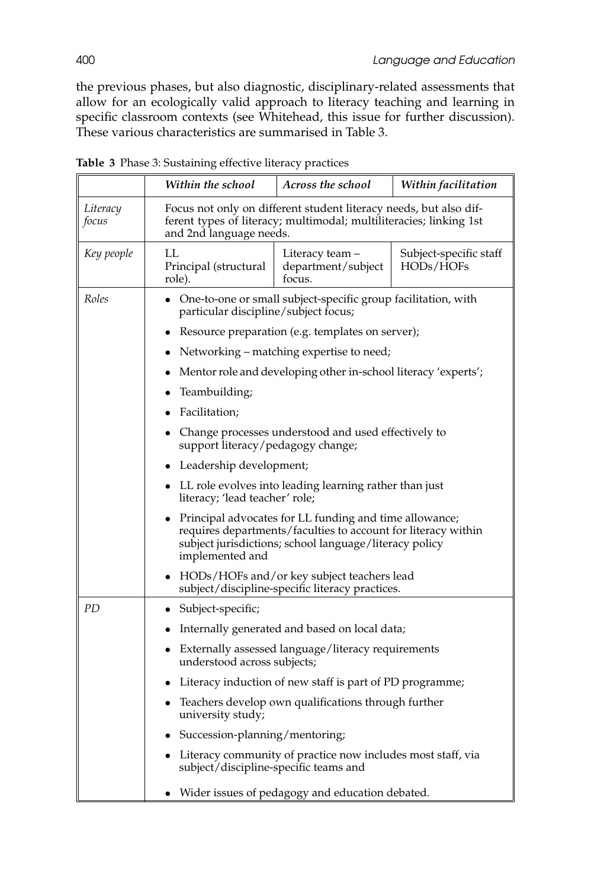the previous phases, but also diagnostic, disciplinary-related assessments that allow for an ecologically valid approach to literacy teaching and learning in specific classroom contexts (see Whitehead, this issue for further discussion). These various characteristics are summarised in Table 3.

|                   | Within the school                                                                                                                                                                                    | Across the school                               | Within facilitation                 |
|-------------------|------------------------------------------------------------------------------------------------------------------------------------------------------------------------------------------------------|-------------------------------------------------|-------------------------------------|
| Literacy<br>focus | Focus not only on different student literacy needs, but also dif-<br>ferent types of literacy; multimodal; multiliteracies; linking 1st<br>and 2nd language needs.                                   |                                                 |                                     |
| Key people        | LL<br>Principal (structural<br>role).                                                                                                                                                                | Literacy team –<br>department/subject<br>focus. | Subject-specific staff<br>HODs/HOFs |
| Roles             | One-to-one or small subject-specific group facilitation, with<br>particular discipline/subject focus;                                                                                                |                                                 |                                     |
|                   | Resource preparation (e.g. templates on server);                                                                                                                                                     |                                                 |                                     |
|                   | Networking – matching expertise to need;                                                                                                                                                             |                                                 |                                     |
|                   | Mentor role and developing other in-school literacy 'experts';                                                                                                                                       |                                                 |                                     |
|                   | Teambuilding;                                                                                                                                                                                        |                                                 |                                     |
|                   | Facilitation;                                                                                                                                                                                        |                                                 |                                     |
|                   | Change processes understood and used effectively to<br>support literacy/pedagogy change;                                                                                                             |                                                 |                                     |
|                   | Leadership development;                                                                                                                                                                              |                                                 |                                     |
|                   | LL role evolves into leading learning rather than just<br>literacy; 'lead teacher' role;                                                                                                             |                                                 |                                     |
|                   | Principal advocates for LL funding and time allowance;<br>requires departments/faculties to account for literacy within<br>subject jurisdictions; school language/literacy policy<br>implemented and |                                                 |                                     |
|                   | HODs/HOFs and/or key subject teachers lead<br>subject/discipline-specific literacy practices.                                                                                                        |                                                 |                                     |
| PD                | Subject-specific;<br>٠                                                                                                                                                                               |                                                 |                                     |
|                   | Internally generated and based on local data;<br>$\bullet$                                                                                                                                           |                                                 |                                     |
|                   | Externally assessed language/literacy requirements<br>understood across subjects;                                                                                                                    |                                                 |                                     |
|                   | Literacy induction of new staff is part of PD programme;<br>$\bullet$                                                                                                                                |                                                 |                                     |
|                   | Teachers develop own qualifications through further<br>university study;                                                                                                                             |                                                 |                                     |
|                   | Succession-planning/mentoring;                                                                                                                                                                       |                                                 |                                     |
|                   | Literacy community of practice now includes most staff, via<br>subject/discipline-specific teams and                                                                                                 |                                                 |                                     |
|                   | Wider issues of pedagogy and education debated.                                                                                                                                                      |                                                 |                                     |

**Table 3** Phase 3: Sustaining effective literacy practices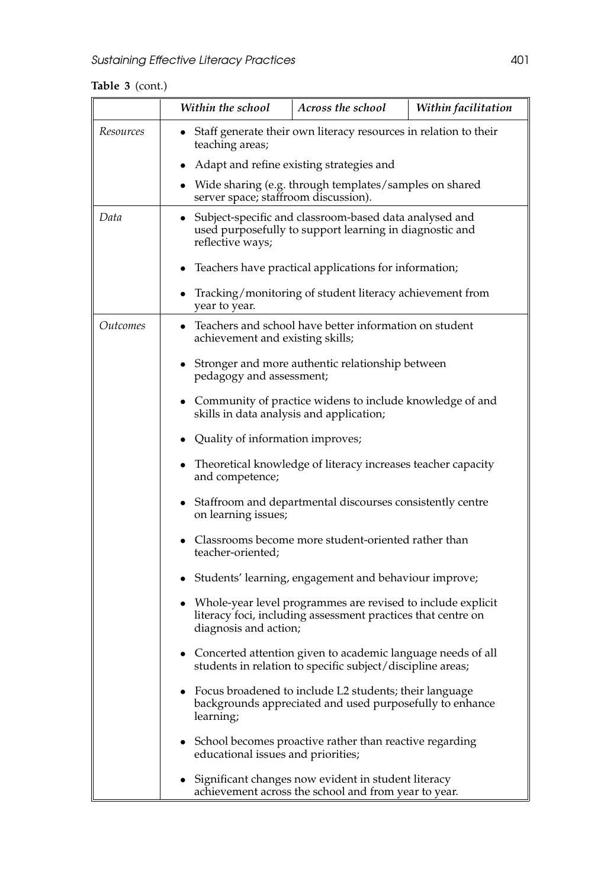**Table 3** (cont.)

|                        | Within the school                                                                                                                                    | Across the school                                                                                                         | Within facilitation |  |
|------------------------|------------------------------------------------------------------------------------------------------------------------------------------------------|---------------------------------------------------------------------------------------------------------------------------|---------------------|--|
| Resources              | • Staff generate their own literacy resources in relation to their<br>teaching areas;                                                                |                                                                                                                           |                     |  |
|                        |                                                                                                                                                      | Adapt and refine existing strategies and                                                                                  |                     |  |
|                        |                                                                                                                                                      | • Wide sharing (e.g. through templates/samples on shared<br>server space; staffroom discussion).                          |                     |  |
| Data                   | reflective ways;                                                                                                                                     | • Subject-specific and classroom-based data analysed and<br>used purposefully to support learning in diagnostic and       |                     |  |
|                        | $\bullet$                                                                                                                                            | Teachers have practical applications for information;                                                                     |                     |  |
|                        | year to year.                                                                                                                                        | Tracking/monitoring of student literacy achievement from                                                                  |                     |  |
| <i><u>Outcomes</u></i> |                                                                                                                                                      | • Teachers and school have better information on student<br>achievement and existing skills;                              |                     |  |
|                        |                                                                                                                                                      | • Stronger and more authentic relationship between<br>pedagogy and assessment;                                            |                     |  |
|                        |                                                                                                                                                      | • Community of practice widens to include knowledge of and<br>skills in data analysis and application;                    |                     |  |
|                        |                                                                                                                                                      | Quality of information improves;                                                                                          |                     |  |
|                        | and competence;                                                                                                                                      | • Theoretical knowledge of literacy increases teacher capacity                                                            |                     |  |
|                        | on learning issues;                                                                                                                                  | • Staffroom and departmental discourses consistently centre                                                               |                     |  |
|                        | teacher-oriented;                                                                                                                                    | • Classrooms become more student-oriented rather than                                                                     |                     |  |
|                        | Students' learning, engagement and behaviour improve;                                                                                                |                                                                                                                           |                     |  |
|                        | Whole-year level programmes are revised to include explicit<br>literacy foci, including assessment practices that centre on<br>diagnosis and action; |                                                                                                                           |                     |  |
|                        |                                                                                                                                                      | Concerted attention given to academic language needs of all<br>students in relation to specific subject/discipline areas; |                     |  |
|                        | learning;                                                                                                                                            | Focus broadened to include L2 students; their language<br>backgrounds appreciated and used purposefully to enhance        |                     |  |
|                        | • School becomes proactive rather than reactive regarding<br>educational issues and priorities;                                                      |                                                                                                                           |                     |  |
|                        | Significant changes now evident in student literacy<br>achievement across the school and from year to year.                                          |                                                                                                                           |                     |  |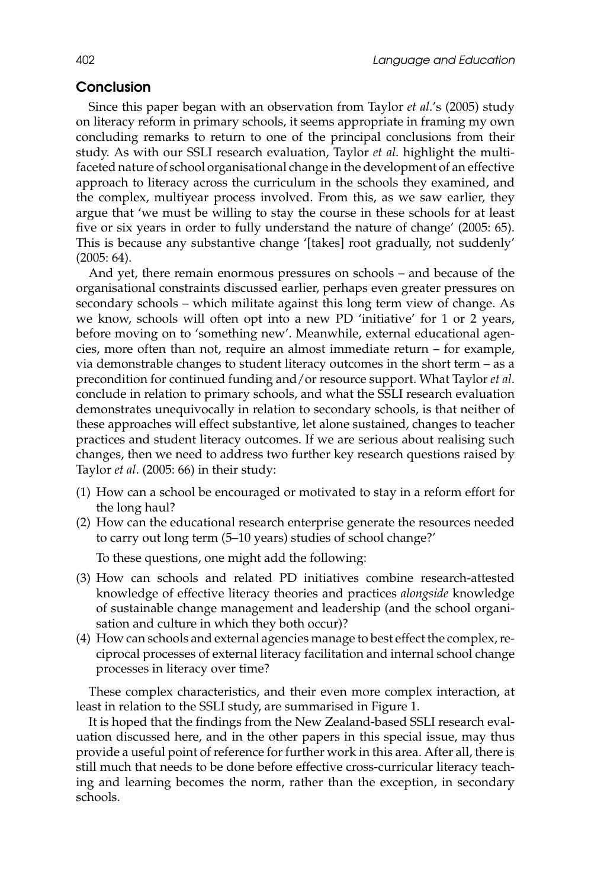# **Conclusion**

Since this paper began with an observation from Taylor *et al*.'s (2005) study on literacy reform in primary schools, it seems appropriate in framing my own concluding remarks to return to one of the principal conclusions from their study. As with our SSLI research evaluation, Taylor *et al*. highlight the multifaceted nature of school organisational change in the development of an effective approach to literacy across the curriculum in the schools they examined, and the complex, multiyear process involved. From this, as we saw earlier, they argue that 'we must be willing to stay the course in these schools for at least five or six years in order to fully understand the nature of change' (2005: 65). This is because any substantive change '[takes] root gradually, not suddenly' (2005: 64).

And yet, there remain enormous pressures on schools – and because of the organisational constraints discussed earlier, perhaps even greater pressures on secondary schools – which militate against this long term view of change. As we know, schools will often opt into a new PD 'initiative' for 1 or 2 years, before moving on to 'something new'. Meanwhile, external educational agencies, more often than not, require an almost immediate return – for example, via demonstrable changes to student literacy outcomes in the short term – as a precondition for continued funding and/or resource support. What Taylor *et al*. conclude in relation to primary schools, and what the SSLI research evaluation demonstrates unequivocally in relation to secondary schools, is that neither of these approaches will effect substantive, let alone sustained, changes to teacher practices and student literacy outcomes. If we are serious about realising such changes, then we need to address two further key research questions raised by Taylor *et al*. (2005: 66) in their study:

- (1) How can a school be encouraged or motivated to stay in a reform effort for the long haul?
- (2) How can the educational research enterprise generate the resources needed to carry out long term (5–10 years) studies of school change?'

To these questions, one might add the following:

- (3) How can schools and related PD initiatives combine research-attested knowledge of effective literacy theories and practices *alongside* knowledge of sustainable change management and leadership (and the school organisation and culture in which they both occur)?
- (4) How can schools and external agencies manage to best effect the complex, reciprocal processes of external literacy facilitation and internal school change processes in literacy over time?

These complex characteristics, and their even more complex interaction, at least in relation to the SSLI study, are summarised in Figure 1.

It is hoped that the findings from the New Zealand-based SSLI research evaluation discussed here, and in the other papers in this special issue, may thus provide a useful point of reference for further work in this area. After all, there is still much that needs to be done before effective cross-curricular literacy teaching and learning becomes the norm, rather than the exception, in secondary schools.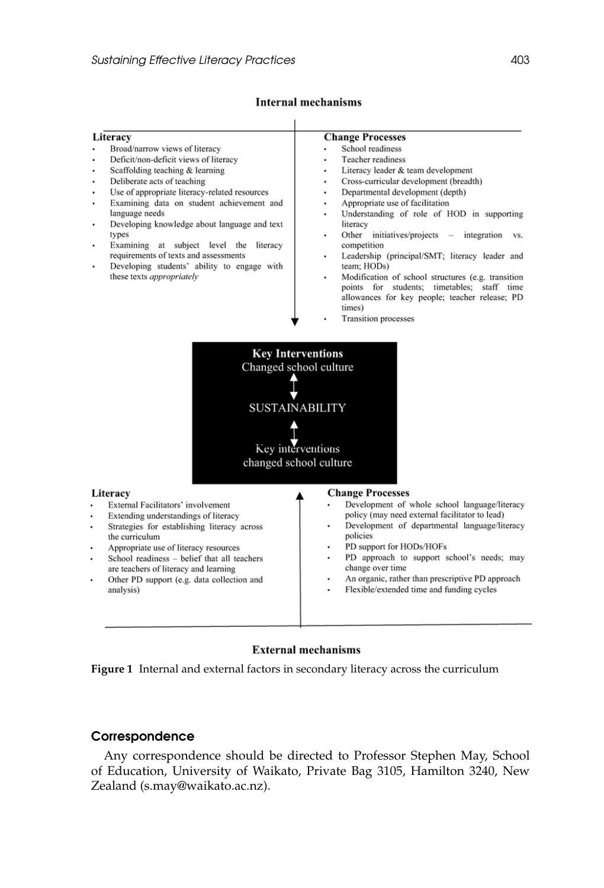# **Internal mechanisms**

| Literacy                                                                            | <b>Change Processes</b>                                                                                                 |
|-------------------------------------------------------------------------------------|-------------------------------------------------------------------------------------------------------------------------|
| Broad/narrow views of literacy                                                      | School readiness<br>٠                                                                                                   |
| Deficit/non-deficit views of literacy                                               | <b>Teacher readiness</b>                                                                                                |
| Scaffolding teaching & learning<br>٠                                                | Literacy leader & team development                                                                                      |
| Deliberate acts of teaching                                                         | Cross-curricular development (breadth)<br>٠                                                                             |
| Use of appropriate literacy-related resources                                       | Departmental development (depth)<br>٠                                                                                   |
| Examining data on student achievement and<br>۰                                      | Appropriate use of facilitation<br>٠                                                                                    |
| language needs                                                                      | Understanding of role of HOD in supporting                                                                              |
| Developing knowledge about language and text<br>٠                                   | literacy                                                                                                                |
| types                                                                               | Other<br>initiatives/projects<br>integration<br>VS.<br>٠                                                                |
| Examining at subject level the<br>literacy                                          | competition                                                                                                             |
| requirements of texts and assessments                                               | Leadership (principal/SMT; literacy leader and<br>÷                                                                     |
| Developing students' ability to engage with                                         | team; HODs)                                                                                                             |
| these texts appropriately                                                           | Modification of school structures (e.g. transition                                                                      |
|                                                                                     | points for students; timetables;<br>staff time                                                                          |
|                                                                                     | allowances for key people; teacher release; PD<br>times)                                                                |
|                                                                                     | <b>Transition processes</b>                                                                                             |
|                                                                                     |                                                                                                                         |
| <b>SUSTAINABILITY</b><br>Key interventions<br>changed school culture                |                                                                                                                         |
|                                                                                     |                                                                                                                         |
| Literacy                                                                            | <b>Change Processes</b>                                                                                                 |
| External Facilitators' involvement                                                  | Development of whole school language/literacy<br>$\ddot{\phantom{0}}$<br>policy (may need external facilitator to lead) |
| Extending understandings of literacy<br>Strategies for establishing literacy across | Development of departmental language/literacy<br>٠                                                                      |
| the curriculum                                                                      | policies                                                                                                                |
| Appropriate use of literacy resources                                               | PD support for HODs/HOFs<br>٠                                                                                           |
| School readiness - belief that all teachers                                         | PD approach to support school's needs; may<br>٠                                                                         |
| are teachers of literacy and learning                                               | change over time                                                                                                        |
| Other PD support (e.g. data collection and<br>٠                                     | An organic, rather than prescriptive PD approach<br>٠                                                                   |
| analysis)                                                                           | Flexible/extended time and funding cycles<br>٠                                                                          |
|                                                                                     |                                                                                                                         |

# **External mechanisms**

**Figure 1** Internal and external factors in secondary literacy across the curriculum

#### **Correspondence**

Any correspondence should be directed to Professor Stephen May, School of Education, University of Waikato, Private Bag 3105, Hamilton 3240, New Zealand (s.may@waikato.ac.nz).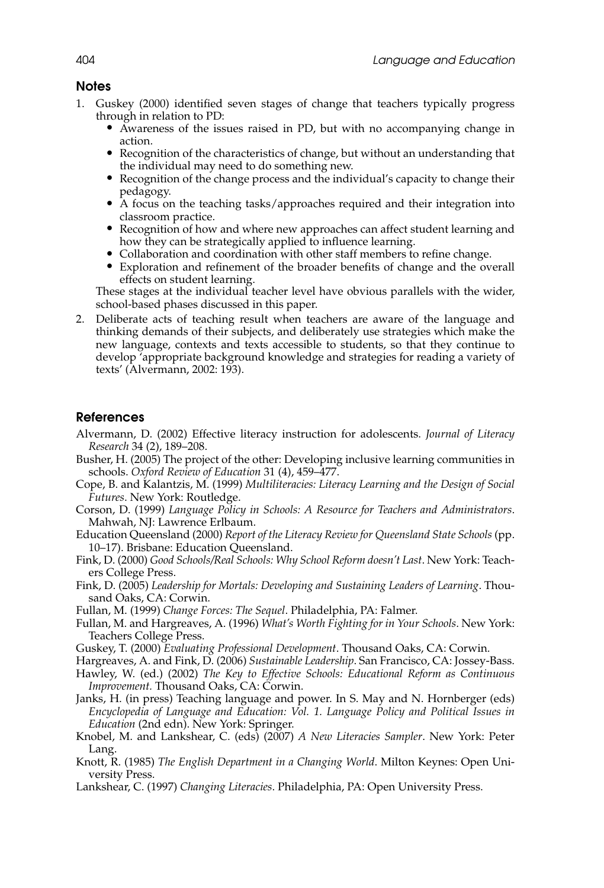#### **Notes**

- 1. Guskey (2000) identified seven stages of change that teachers typically progress
	- Awareness of the issues raised in PD, but with no accompanying change in
	- action.<br>
	 Recognition of the characteristics of change, but without an understanding that the individual may need to do something new.
	- $\bullet$  Recognition of the change process and the individual's capacity to change their
	- pedagogy.<br>
	 A focus on the teaching tasks/approaches required and their integration into classroom practice.
	- Recognition of how and where new approaches can affect student learning and how they can be strategically applied to influence learning.<br>
	• Collaboration and coordination with other staff members to refine change.<br>
	• Exploration and refinement of the broader benefits of change and the overall
	-
	- effects on student learning.

These stages at the individual teacher level have obvious parallels with the wider, school-based phases discussed in this paper.

2. Deliberate acts of teaching result when teachers are aware of the language and thinking demands of their subjects, and deliberately use strategies which make the new language, contexts and texts accessible to students, so that they continue to develop 'appropriate background knowledge and strategies for reading a variety of texts' (Alvermann, 2002: 193).

#### **References**

- Alvermann, D. (2002) Effective literacy instruction for adolescents. *Journal of Literacy Research* 34 (2), 189–208.
- Busher, H. (2005) The project of the other: Developing inclusive learning communities in schools. *Oxford Review of Education* 31 (4), 459–477.
- Cope, B. and Kalantzis, M. (1999) *Multiliteracies: Literacy Learning and the Design of Social Futures*. New York: Routledge.
- Corson, D. (1999) *Language Policy in Schools: A Resource for Teachers and Administrators*. Mahwah, NJ: Lawrence Erlbaum.
- Education Queensland (2000) *Report of the Literacy Review for Queensland State Schools* (pp. 10–17). Brisbane: Education Queensland.
- Fink, D. (2000) *Good Schools/Real Schools: Why School Reform doesn't Last*. New York: Teachers College Press.
- Fink, D. (2005) *Leadership for Mortals: Developing and Sustaining Leaders of Learning*. Thousand Oaks, CA: Corwin.
- Fullan, M. (1999) *Change Forces: The Sequel*. Philadelphia, PA: Falmer.
- Fullan, M. and Hargreaves, A. (1996) *What's Worth Fighting for in Your Schools*. New York: Teachers College Press.
- Guskey, T. (2000) *Evaluating Professional Development*. Thousand Oaks, CA: Corwin.

Hargreaves, A. and Fink, D. (2006) *Sustainable Leadership*. San Francisco, CA: Jossey-Bass.

- Hawley, W. (ed.) (2002) *The Key to Effective Schools: Educational Reform as Continuous Improvement.* Thousand Oaks, CA: Corwin.
- Janks, H. (in press) Teaching language and power. In S. May and N. Hornberger (eds) *Encyclopedia of Language and Education: Vol. 1. Language Policy and Political Issues in Education* (2nd edn). New York: Springer.
- Knobel, M. and Lankshear, C. (eds) (2007) *A New Literacies Sampler*. New York: Peter Lang.
- Knott, R. (1985) *The English Department in a Changing World*. Milton Keynes: Open University Press.
- Lankshear, C. (1997) *Changing Literacies*. Philadelphia, PA: Open University Press.